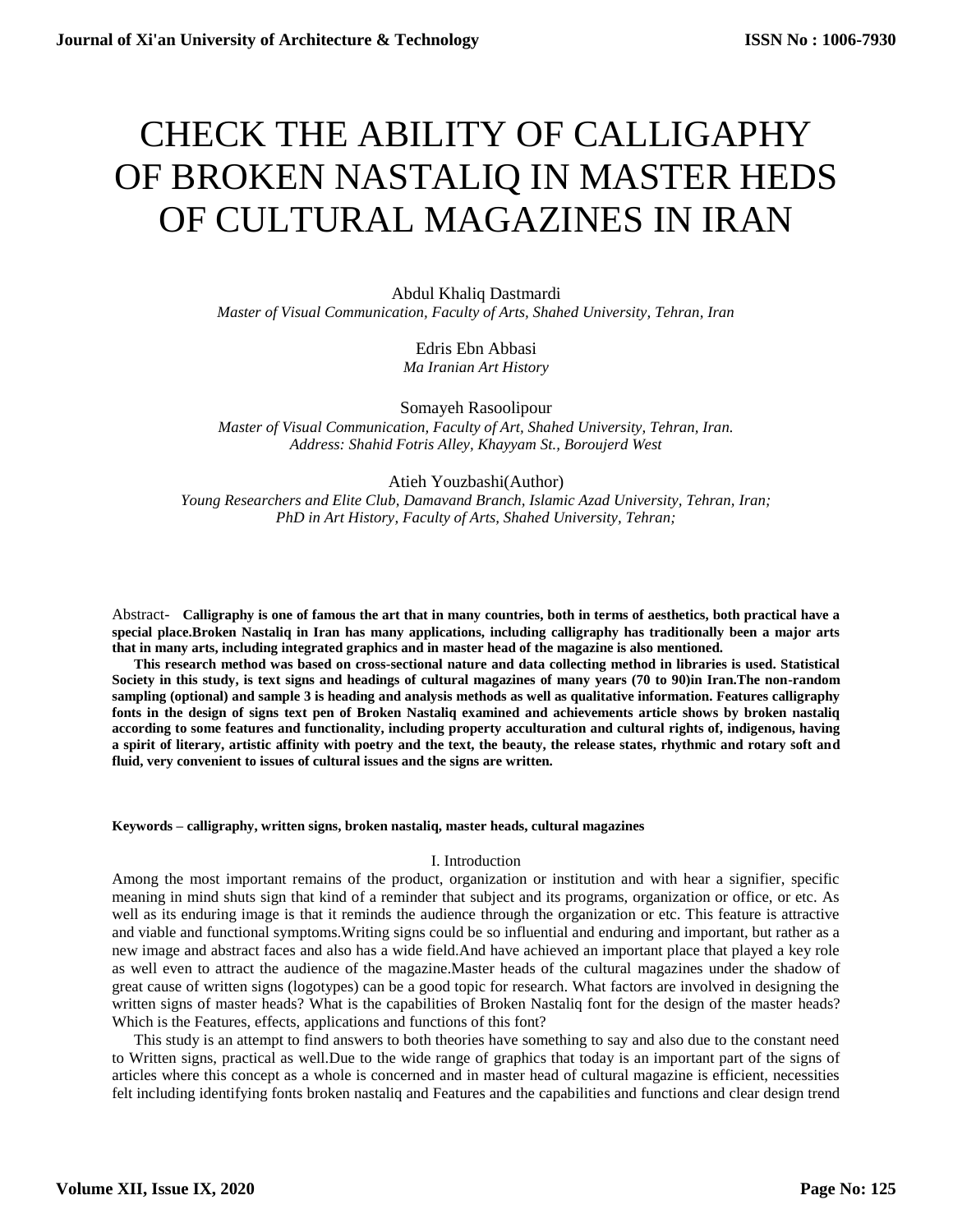# CHECK THE ABILITY OF CALLIGAPHY OF BROKEN NASTALIQ IN MASTER HEDS OF CULTURAL MAGAZINES IN IRAN

Abdul Khaliq Dastmardi *Master of Visual Communication, Faculty of Arts, Shahed University, Tehran, Iran*

> Edris Ebn Abbasi *Ma Iranian Art History*

Somayeh Rasoolipour *Master of Visual Communication, Faculty of Art, Shahed University, Tehran, Iran. Address: Shahid Fotris Alley, Khayyam St., Boroujerd West*

Atieh Youzbashi(Author) *Young Researchers and Elite Club, Damavand Branch, Islamic Azad University, Tehran, Iran; PhD in Art History, Faculty of Arts, Shahed University, Tehran;*

Abstract- **Calligraphy is one of famous the art that in many countries, both in terms of aesthetics, both practical have a special place.Broken Nastaliq in Iran has many applications, including calligraphy has traditionally been a major arts that in many arts, including integrated graphics and in master head of the magazine is also mentioned.**

**This research method was based on cross-sectional nature and data collecting method in libraries is used. Statistical Society in this study, is text signs and headings of cultural magazines of many years (70 to 90)in Iran.The non-random sampling (optional) and sample 3 is heading and analysis methods as well as qualitative information. Features calligraphy fonts in the design of signs text pen of Broken Nastaliq examined and achievements article shows by broken nastaliq according to some features and functionality, including property acculturation and cultural rights of, indigenous, having a spirit of literary, artistic affinity with poetry and the text, the beauty, the release states, rhythmic and rotary soft and fluid, very convenient to issues of cultural issues and the signs are written.**

#### **Keywords – calligraphy, written signs, broken nastaliq, master heads, cultural magazines**

## I. Introduction

Among the most important remains of the product, organization or institution and with hear a signifier, specific meaning in mind shuts sign that kind of a reminder that subject and its programs, organization or office, or etc. As well as its enduring image is that it reminds the audience through the organization or etc. This feature is attractive and viable and functional symptoms.Writing signs could be so influential and enduring and important, but rather as a new image and abstract faces and also has a wide field.And have achieved an important place that played a key role as well even to attract the audience of the magazine.Master heads of the cultural magazines under the shadow of great cause of written signs (logotypes) can be a good topic for research. What factors are involved in designing the written signs of master heads? What is the capabilities of Broken Nastaliq font for the design of the master heads? Which is the Features, effects, applications and functions of this font?

This study is an attempt to find answers to both theories have something to say and also due to the constant need to Written signs, practical as well.Due to the wide range of graphics that today is an important part of the signs of articles where this concept as a whole is concerned and in master head of cultural magazine is efficient, necessities felt including identifying fonts broken nastaliq and Features and the capabilities and functions and clear design trend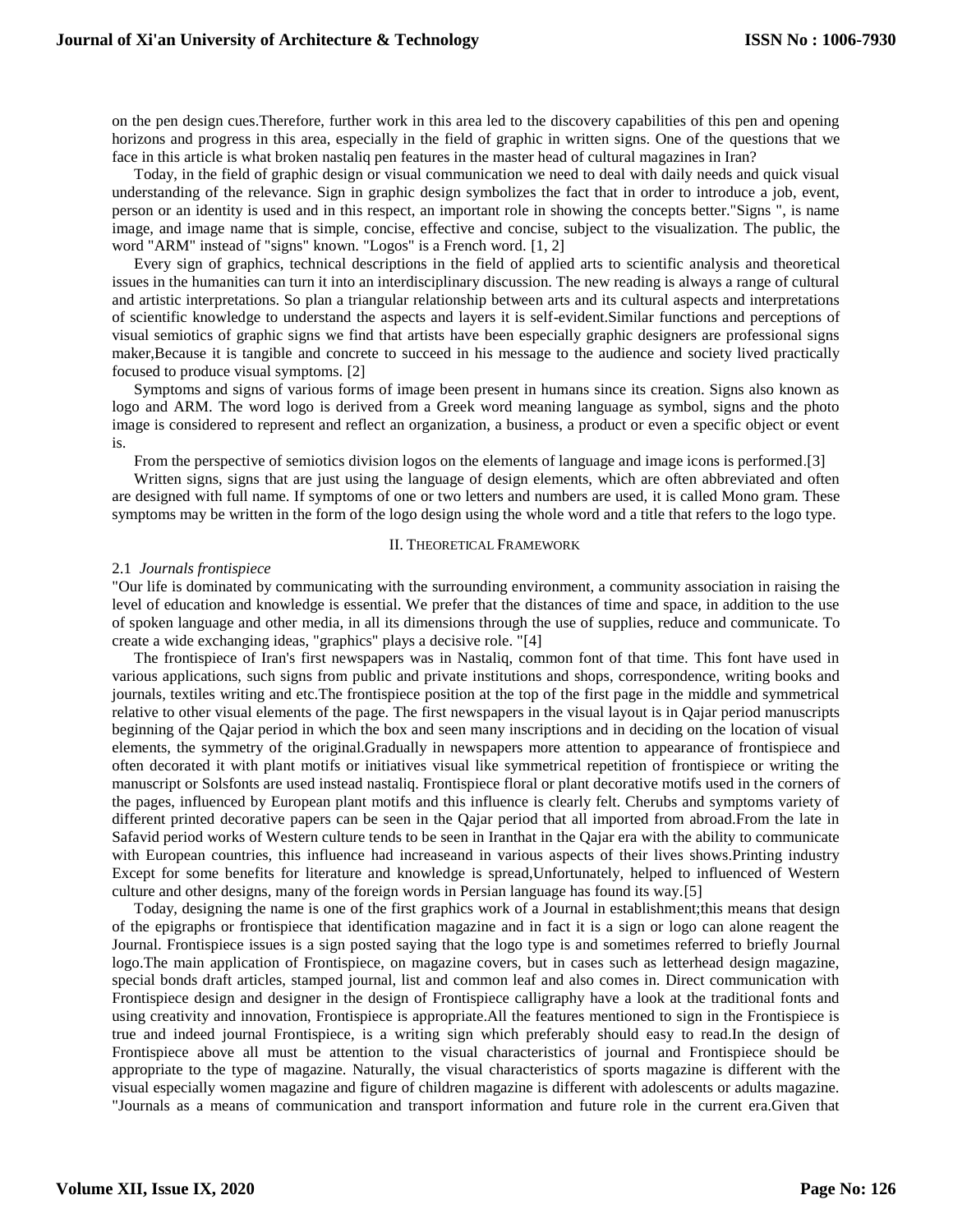on the pen design cues.Therefore, further work in this area led to the discovery capabilities of this pen and opening horizons and progress in this area, especially in the field of graphic in written signs. One of the questions that we face in this article is what broken nastaliq pen features in the master head of cultural magazines in Iran?

Today, in the field of graphic design or visual communication we need to deal with daily needs and quick visual understanding of the relevance. Sign in graphic design symbolizes the fact that in order to introduce a job, event, person or an identity is used and in this respect, an important role in showing the concepts better."Signs ", is name image, and image name that is simple, concise, effective and concise, subject to the visualization. The public, the word "ARM" instead of "signs" known. "Logos" is a French word. [1, 2]

Every sign of graphics, technical descriptions in the field of applied arts to scientific analysis and theoretical issues in the humanities can turn it into an interdisciplinary discussion. The new reading is always a range of cultural and artistic interpretations. So plan a triangular relationship between arts and its cultural aspects and interpretations of scientific knowledge to understand the aspects and layers it is self-evident.Similar functions and perceptions of visual semiotics of graphic signs we find that artists have been especially graphic designers are professional signs maker,Because it is tangible and concrete to succeed in his message to the audience and society lived practically focused to produce visual symptoms. [2]

Symptoms and signs of various forms of image been present in humans since its creation. Signs also known as logo and ARM. The word logo is derived from a Greek word meaning language as symbol, signs and the photo image is considered to represent and reflect an organization, a business, a product or even a specific object or event is.

From the perspective of semiotics division logos on the elements of language and image icons is performed.[3]

Written signs, signs that are just using the language of design elements, which are often abbreviated and often are designed with full name. If symptoms of one or two letters and numbers are used, it is called Mono gram. These symptoms may be written in the form of the logo design using the whole word and a title that refers to the logo type.

#### II. THEORETICAL FRAMEWORK

#### 2.1 *Journals frontispiece*

"Our life is dominated by communicating with the surrounding environment, a community association in raising the level of education and knowledge is essential. We prefer that the distances of time and space, in addition to the use of spoken language and other media, in all its dimensions through the use of supplies, reduce and communicate. To create a wide exchanging ideas, "graphics" plays a decisive role. "[4]

The frontispiece of Iran's first newspapers was in Nastaliq, common font of that time. This font have used in various applications, such signs from public and private institutions and shops, correspondence, writing books and journals, textiles writing and etc.The frontispiece position at the top of the first page in the middle and symmetrical relative to other visual elements of the page. The first newspapers in the visual layout is in Qajar period manuscripts beginning of the Qajar period in which the box and seen many inscriptions and in deciding on the location of visual elements, the symmetry of the original.Gradually in newspapers more attention to appearance of frontispiece and often decorated it with plant motifs or initiatives visual like symmetrical repetition of frontispiece or writing the manuscript or Solsfonts are used instead nastaliq. Frontispiece floral or plant decorative motifs used in the corners of the pages, influenced by European plant motifs and this influence is clearly felt. Cherubs and symptoms variety of different printed decorative papers can be seen in the Qajar period that all imported from abroad.From the late in Safavid period works of Western culture tends to be seen in Iranthat in the Qajar era with the ability to communicate with European countries, this influence had increaseand in various aspects of their lives shows.Printing industry Except for some benefits for literature and knowledge is spread,Unfortunately, helped to influenced of Western culture and other designs, many of the foreign words in Persian language has found its way.[5]

Today, designing the name is one of the first graphics work of a Journal in establishment;this means that design of the epigraphs or frontispiece that identification magazine and in fact it is a sign or logo can alone reagent the Journal. Frontispiece issues is a sign posted saying that the logo type is and sometimes referred to briefly Journal logo.The main application of Frontispiece, on magazine covers, but in cases such as letterhead design magazine, special bonds draft articles, stamped journal, list and common leaf and also comes in. Direct communication with Frontispiece design and designer in the design of Frontispiece calligraphy have a look at the traditional fonts and using creativity and innovation, Frontispiece is appropriate.All the features mentioned to sign in the Frontispiece is true and indeed journal Frontispiece, is a writing sign which preferably should easy to read.In the design of Frontispiece above all must be attention to the visual characteristics of journal and Frontispiece should be appropriate to the type of magazine. Naturally, the visual characteristics of sports magazine is different with the visual especially women magazine and figure of children magazine is different with adolescents or adults magazine. "Journals as a means of communication and transport information and future role in the current era.Given that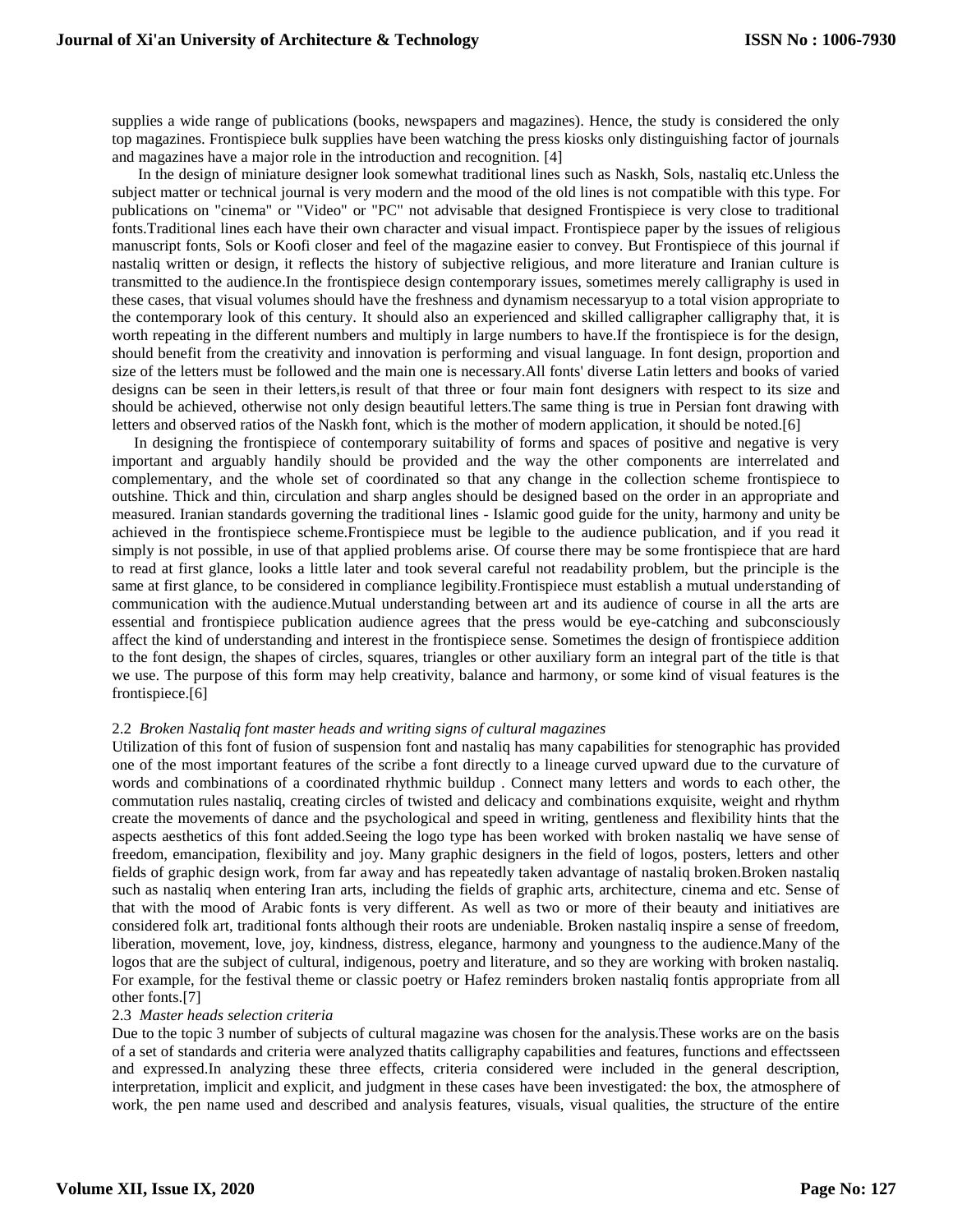supplies a wide range of publications (books, newspapers and magazines). Hence, the study is considered the only top magazines. Frontispiece bulk supplies have been watching the press kiosks only distinguishing factor of journals and magazines have a major role in the introduction and recognition. [4]

In the design of miniature designer look somewhat traditional lines such as Naskh, Sols, nastaliq etc.Unless the subject matter or technical journal is very modern and the mood of the old lines is not compatible with this type. For publications on "cinema" or "Video" or "PC" not advisable that designed Frontispiece is very close to traditional fonts.Traditional lines each have their own character and visual impact. Frontispiece paper by the issues of religious manuscript fonts, Sols or Koofi closer and feel of the magazine easier to convey. But Frontispiece of this journal if nastaliq written or design, it reflects the history of subjective religious, and more literature and Iranian culture is transmitted to the audience.In the frontispiece design contemporary issues, sometimes merely calligraphy is used in these cases, that visual volumes should have the freshness and dynamism necessaryup to a total vision appropriate to the contemporary look of this century. It should also an experienced and skilled calligrapher calligraphy that, it is worth repeating in the different numbers and multiply in large numbers to have.If the frontispiece is for the design, should benefit from the creativity and innovation is performing and visual language. In font design, proportion and size of the letters must be followed and the main one is necessary.All fonts' diverse Latin letters and books of varied designs can be seen in their letters,is result of that three or four main font designers with respect to its size and should be achieved, otherwise not only design beautiful letters.The same thing is true in Persian font drawing with letters and observed ratios of the Naskh font, which is the mother of modern application, it should be noted.[6]

In designing the frontispiece of contemporary suitability of forms and spaces of positive and negative is very important and arguably handily should be provided and the way the other components are interrelated and complementary, and the whole set of coordinated so that any change in the collection scheme frontispiece to outshine. Thick and thin, circulation and sharp angles should be designed based on the order in an appropriate and measured. Iranian standards governing the traditional lines - Islamic good guide for the unity, harmony and unity be achieved in the frontispiece scheme.Frontispiece must be legible to the audience publication, and if you read it simply is not possible, in use of that applied problems arise. Of course there may be some frontispiece that are hard to read at first glance, looks a little later and took several careful not readability problem, but the principle is the same at first glance, to be considered in compliance legibility.Frontispiece must establish a mutual understanding of communication with the audience.Mutual understanding between art and its audience of course in all the arts are essential and frontispiece publication audience agrees that the press would be eye-catching and subconsciously affect the kind of understanding and interest in the frontispiece sense. Sometimes the design of frontispiece addition to the font design, the shapes of circles, squares, triangles or other auxiliary form an integral part of the title is that we use. The purpose of this form may help creativity, balance and harmony, or some kind of visual features is the frontispiece.[6]

## 2.2 *Broken Nastaliq font master heads and writing signs of cultural magazines*

Utilization of this font of fusion of suspension font and nastaliq has many capabilities for stenographic has provided one of the most important features of the scribe a font directly to a lineage curved upward due to the curvature of words and combinations of a coordinated rhythmic buildup . Connect many letters and words to each other, the commutation rules nastaliq, creating circles of twisted and delicacy and combinations exquisite, weight and rhythm create the movements of dance and the psychological and speed in writing, gentleness and flexibility hints that the aspects aesthetics of this font added.Seeing the logo type has been worked with broken nastaliq we have sense of freedom, emancipation, flexibility and joy. Many graphic designers in the field of logos, posters, letters and other fields of graphic design work, from far away and has repeatedly taken advantage of nastaliq broken.Broken nastaliq such as nastaliq when entering Iran arts, including the fields of graphic arts, architecture, cinema and etc. Sense of that with the mood of Arabic fonts is very different. As well as two or more of their beauty and initiatives are considered folk art, traditional fonts although their roots are undeniable. Broken nastaliq inspire a sense of freedom, liberation, movement, love, joy, kindness, distress, elegance, harmony and youngness to the audience.Many of the logos that are the subject of cultural, indigenous, poetry and literature, and so they are working with broken nastaliq. For example, for the festival theme or classic poetry or Hafez reminders broken nastaliq fontis appropriate from all other fonts.[7]

## 2.3 *Master heads selection criteria*

Due to the topic 3 number of subjects of cultural magazine was chosen for the analysis.These works are on the basis of a set of standards and criteria were analyzed thatits calligraphy capabilities and features, functions and effectsseen and expressed.In analyzing these three effects, criteria considered were included in the general description, interpretation, implicit and explicit, and judgment in these cases have been investigated: the box, the atmosphere of work, the pen name used and described and analysis features, visuals, visual qualities, the structure of the entire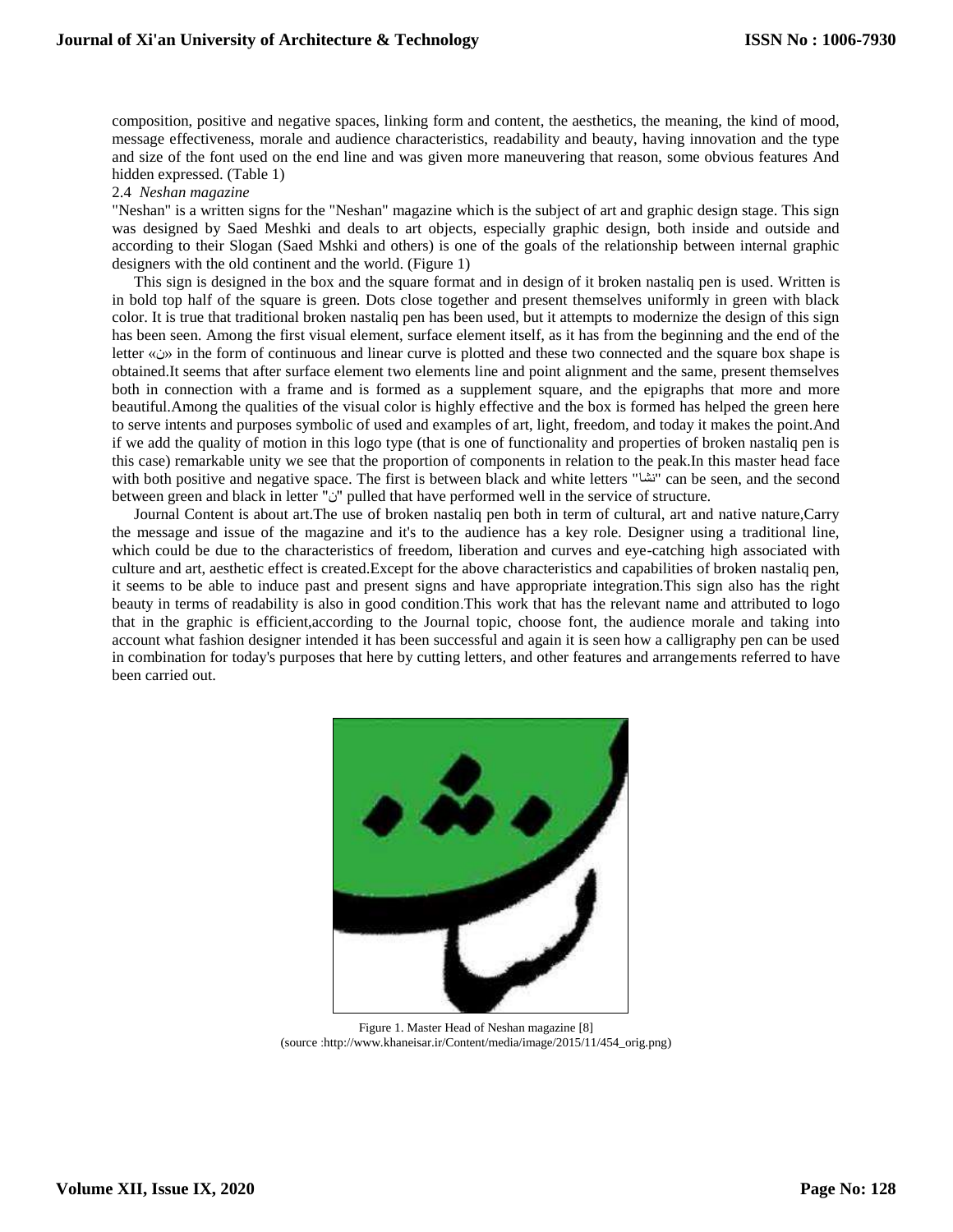composition, positive and negative spaces, linking form and content, the aesthetics, the meaning, the kind of mood, message effectiveness, morale and audience characteristics, readability and beauty, having innovation and the type and size of the font used on the end line and was given more maneuvering that reason, some obvious features And hidden expressed. (Table 1)

2.4 *Neshan magazine*

"Neshan" is a written signs for the "Neshan" magazine which is the subject of art and graphic design stage. This sign was designed by Saed Meshki and deals to art objects, especially graphic design, both inside and outside and according to their Slogan (Saed Mshki and others) is one of the goals of the relationship between internal graphic designers with the old continent and the world. (Figure 1)

This sign is designed in the box and the square format and in design of it broken nastaliq pen is used. Written is in bold top half of the square is green. Dots close together and present themselves uniformly in green with black color. It is true that traditional broken nastaliq pen has been used, but it attempts to modernize the design of this sign has been seen. Among the first visual element, surface element itself, as it has from the beginning and the end of the letter »ن »in the form of continuous and linear curve is plotted and these two connected and the square box shape is obtained.It seems that after surface element two elements line and point alignment and the same, present themselves both in connection with a frame and is formed as a supplement square, and the epigraphs that more and more beautiful.Among the qualities of the visual color is highly effective and the box is formed has helped the green here to serve intents and purposes symbolic of used and examples of art, light, freedom, and today it makes the point.And if we add the quality of motion in this logo type (that is one of functionality and properties of broken nastaliq pen is this case) remarkable unity we see that the proportion of components in relation to the peak.In this master head face with both positive and negative space. The first is between black and white letters "نشا" can be seen, and the second between green and black in letter "i" "imulled that have performed well in the service of structure.

Journal Content is about art.The use of broken nastaliq pen both in term of cultural, art and native nature,Carry the message and issue of the magazine and it's to the audience has a key role. Designer using a traditional line, which could be due to the characteristics of freedom, liberation and curves and eye-catching high associated with culture and art, aesthetic effect is created.Except for the above characteristics and capabilities of broken nastaliq pen, it seems to be able to induce past and present signs and have appropriate integration.This sign also has the right beauty in terms of readability is also in good condition.This work that has the relevant name and attributed to logo that in the graphic is efficient,according to the Journal topic, choose font, the audience morale and taking into account what fashion designer intended it has been successful and again it is seen how a calligraphy pen can be used in combination for today's purposes that here by cutting letters, and other features and arrangements referred to have been carried out.



Figure 1. Master Head of Neshan magazine [8] (source [:http://www.khaneisar.ir/Content/media/image/2015/11/454\\_orig.png\)](http://www.khaneisar.ir/Content/media/image/2015/11/454_orig.png)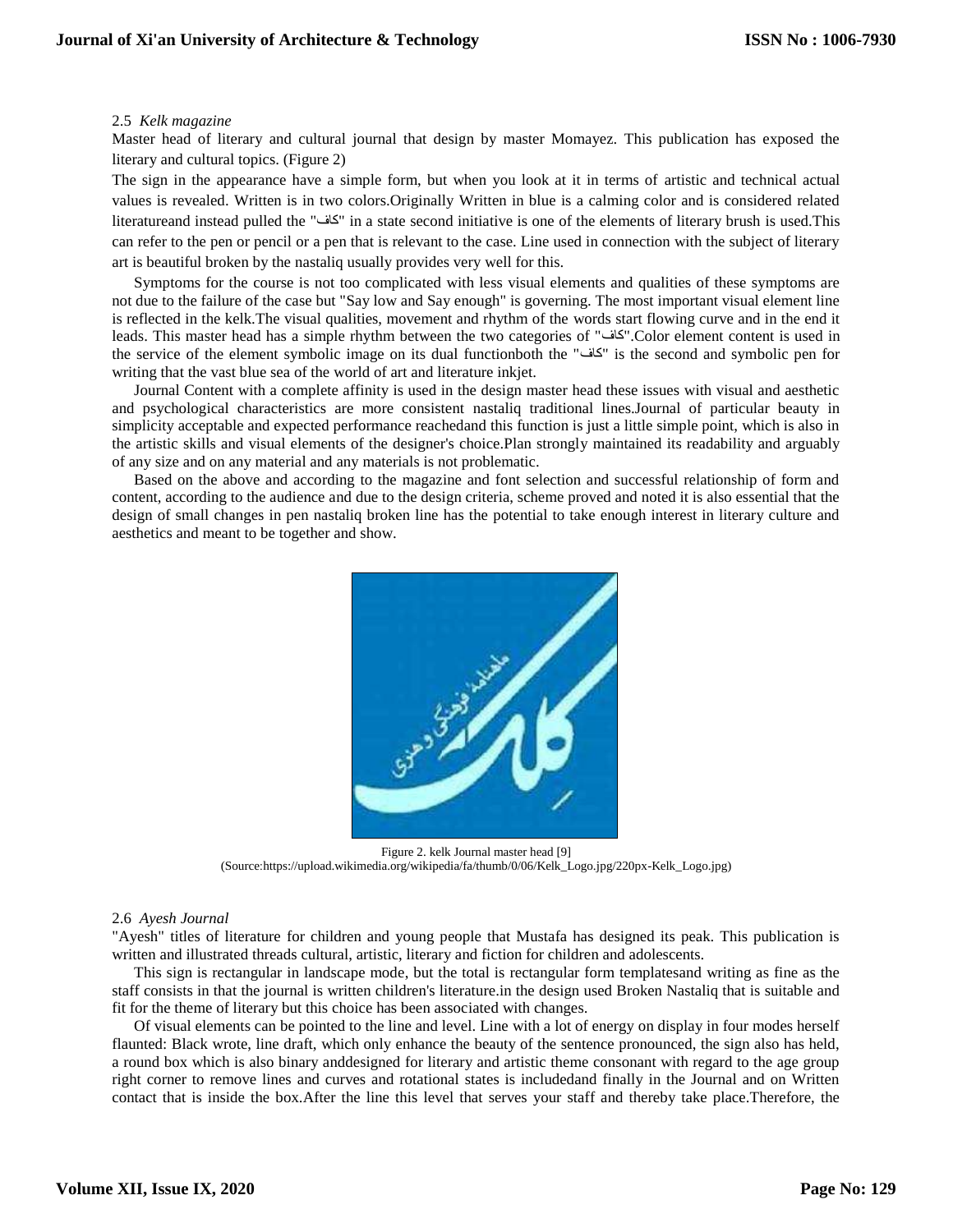#### 2.5 *Kelk magazine*

Master head of literary and cultural journal that design by master Momayez. This publication has exposed the literary and cultural topics. (Figure 2)

The sign in the appearance have a simple form, but when you look at it in terms of artistic and technical actual values is revealed. Written is in two colors.Originally Written in blue is a calming color and is considered related literatureand instead pulled the "کاف "in a state second initiative is one of the elements of literary brush is used.This can refer to the pen or pencil or a pen that is relevant to the case. Line used in connection with the subject of literary art is beautiful broken by the nastaliq usually provides very well for this.

Symptoms for the course is not too complicated with less visual elements and qualities of these symptoms are not due to the failure of the case but "Say low and Say enough" is governing. The most important visual element line is reflected in the kelk.The visual qualities, movement and rhythm of the words start flowing curve and in the end it leads. This master head has a simple rhythm between the two categories of "کاف".Color element content is used in the service of the element symbolic image on its dual functionboth the "کاف "is the second and symbolic pen for writing that the vast blue sea of the world of art and literature inkjet.

Journal Content with a complete affinity is used in the design master head these issues with visual and aesthetic and psychological characteristics are more consistent nastaliq traditional lines.Journal of particular beauty in simplicity acceptable and expected performance reachedand this function is just a little simple point, which is also in the artistic skills and visual elements of the designer's choice.Plan strongly maintained its readability and arguably of any size and on any material and any materials is not problematic.

Based on the above and according to the magazine and font selection and successful relationship of form and content, according to the audience and due to the design criteria, scheme proved and noted it is also essential that the design of small changes in pen nastaliq broken line has the potential to take enough interest in literary culture and aesthetics and meant to be together and show.



Figure 2. kelk Journal master head [9] (Source[:https://upload.wikimedia.org/wikipedia/fa/thumb/0/06/Kelk\\_Logo.jpg/220px-Kelk\\_Logo.jpg\)](https://upload.wikimedia.org/wikipedia/fa/thumb/0/06/Kelk_Logo.jpg/220px-Kelk_Logo.jpg)

#### 2.6 *Ayesh Journal*

"Ayesh" titles of literature for children and young people that Mustafa has designed its peak. This publication is written and illustrated threads cultural, artistic, literary and fiction for children and adolescents.

This sign is rectangular in landscape mode, but the total is rectangular form templatesand writing as fine as the staff consists in that the journal is written children's literature.in the design used Broken Nastaliq that is suitable and fit for the theme of literary but this choice has been associated with changes.

Of visual elements can be pointed to the line and level. Line with a lot of energy on display in four modes herself flaunted: Black wrote, line draft, which only enhance the beauty of the sentence pronounced, the sign also has held, a round box which is also binary anddesigned for literary and artistic theme consonant with regard to the age group right corner to remove lines and curves and rotational states is includedand finally in the Journal and on Written contact that is inside the box.After the line this level that serves your staff and thereby take place.Therefore, the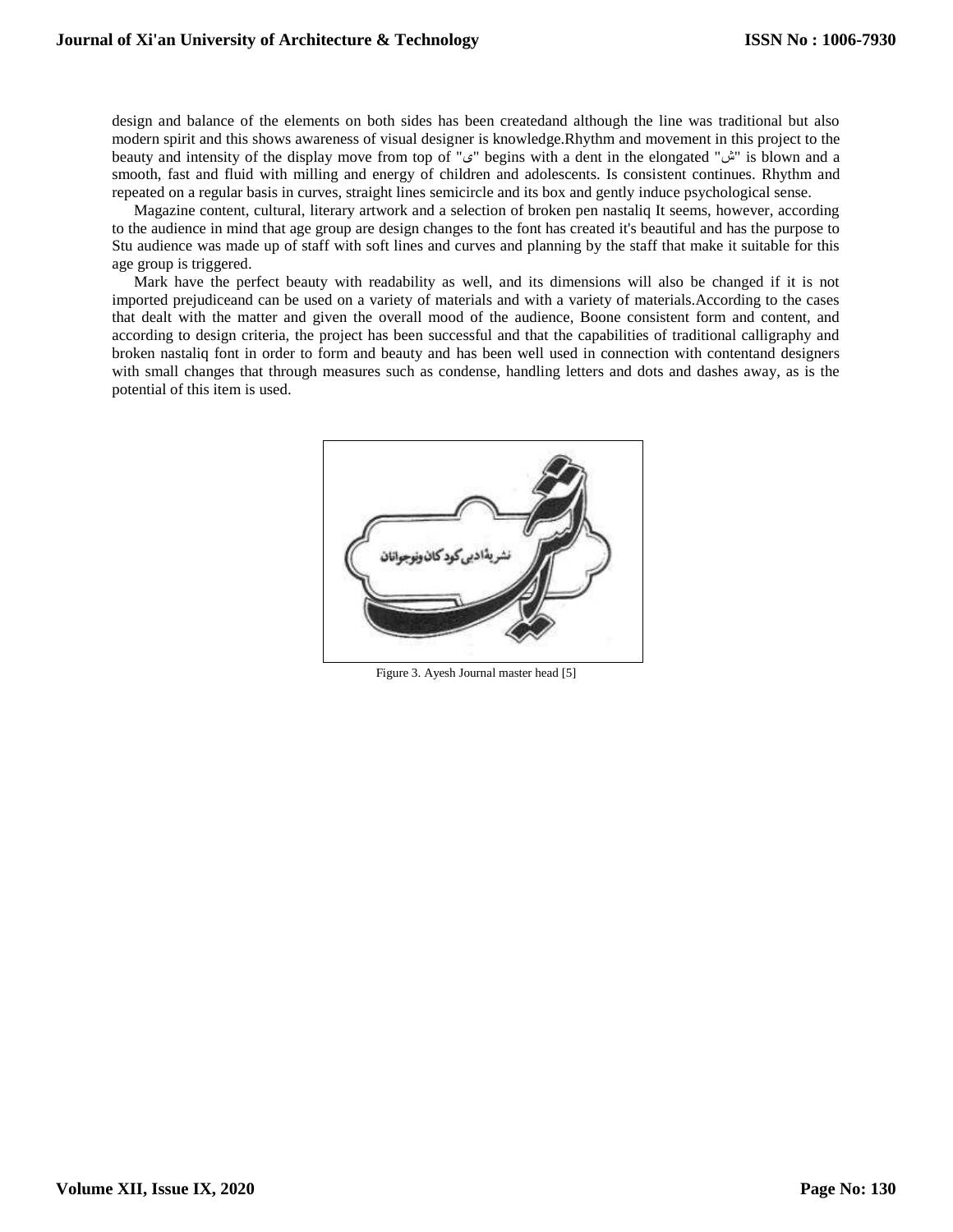design and balance of the elements on both sides has been createdand although the line was traditional but also modern spirit and this shows awareness of visual designer is knowledge.Rhythm and movement in this project to the beauty and intensity of the display move from top of "ي" begins with a dent in the elongated "ش" is blown and a smooth, fast and fluid with milling and energy of children and adolescents. Is consistent continues. Rhythm and repeated on a regular basis in curves, straight lines semicircle and its box and gently induce psychological sense.

Magazine content, cultural, literary artwork and a selection of broken pen nastaliq It seems, however, according to the audience in mind that age group are design changes to the font has created it's beautiful and has the purpose to Stu audience was made up of staff with soft lines and curves and planning by the staff that make it suitable for this age group is triggered.

Mark have the perfect beauty with readability as well, and its dimensions will also be changed if it is not imported prejudiceand can be used on a variety of materials and with a variety of materials.According to the cases that dealt with the matter and given the overall mood of the audience, Boone consistent form and content, and according to design criteria, the project has been successful and that the capabilities of traditional calligraphy and broken nastaliq font in order to form and beauty and has been well used in connection with contentand designers with small changes that through measures such as condense, handling letters and dots and dashes away, as is the potential of this item is used.



Figure 3. Ayesh Journal master head [5]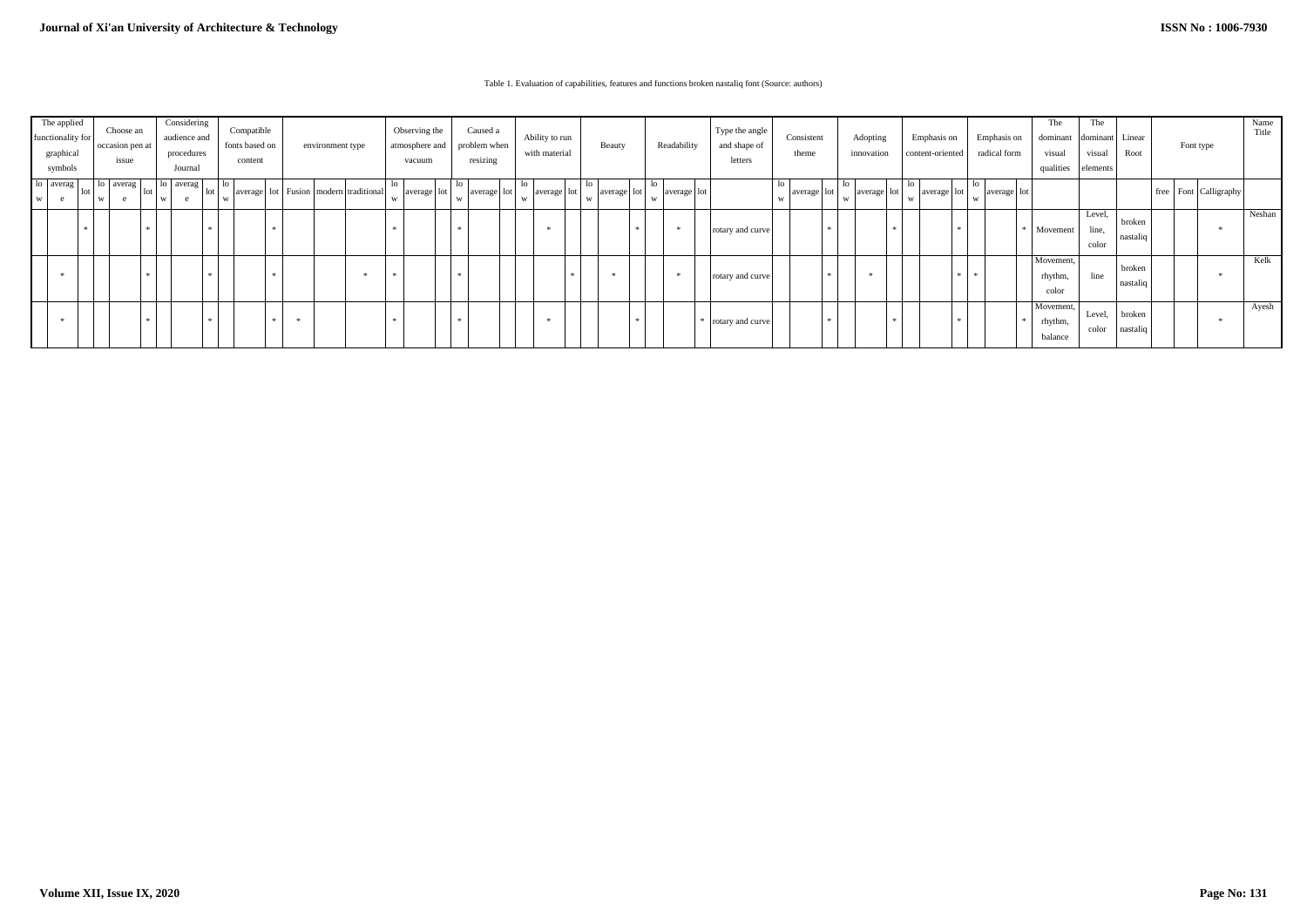## Table 1. Evaluation of capabilities, features and functions broken nastaliq font (Source: authors)

| The applied<br>functionality for<br>graphical<br>symbols |           | Choose an<br>occasion pen at<br>issue | Considering<br>audience and<br>procedures<br>Journal | Compatible<br>fonts based on<br>content                  | environment type |  | Observing the<br>atmosphere and<br>vacuum |                         | Caused a<br>problem when<br>with material<br>resizing |                         | Ability to run<br>Beauty |             | Readability |             | Type the angle<br>and shape of<br>letters | Consistent<br>theme |                  | Adopting<br>innovation |            | Emphasis on<br>content-oriented |                 | Emphasis on<br>radical form | The<br>dominant<br>visual<br>qualities | The<br>dominant Linear<br>visual<br>elements | Root                            | Font type                | Name<br>Title      |                           |        |
|----------------------------------------------------------|-----------|---------------------------------------|------------------------------------------------------|----------------------------------------------------------|------------------|--|-------------------------------------------|-------------------------|-------------------------------------------------------|-------------------------|--------------------------|-------------|-------------|-------------|-------------------------------------------|---------------------|------------------|------------------------|------------|---------------------------------|-----------------|-----------------------------|----------------------------------------|----------------------------------------------|---------------------------------|--------------------------|--------------------|---------------------------|--------|
| W I                                                      | lo averag | averag<br>- 10<br>юE<br>w             | lo averag<br>  lot<br>e<br>W                         | lo<br>average   lot   Fusion   modern   traditional<br>W |                  |  |                                           | -10<br>average lot<br>W |                                                       | -IC<br>average lot<br>W | W                        | average lot | W           | average lot | W                                         | average lot         |                  | average lot            |            | ĸ<br>average lot<br>W           | -lC<br><b>W</b> | average   lot               | W                                      | average lot                                  |                                 |                          |                    | free   Font   Calligraphy |        |
|                                                          |           |                                       |                                                      |                                                          |                  |  |                                           |                         |                                                       |                         |                          |             |             |             | 米                                         |                     | rotary and curve |                        | - de       |                                 |                 | $*$ 1                       |                                        |                                              | Movement                        | Level,<br>line,<br>color | broken<br>nastaliq |                           | Neshan |
|                                                          |           |                                       |                                                      |                                                          |                  |  | - 宋                                       | $\star$                 |                                                       | $\rightarrow$           |                          |             |             |             | 宋                                         |                     | rotary and curve |                        | <b>Ski</b> | $\star$                         |                 | $\ast$ 1                    | $\ast$                                 |                                              | Movement,<br>rhythm.<br>color   | line                     | broken<br>nastaliq |                           | Kelk   |
|                                                          |           |                                       |                                                      | - sie                                                    | 来。               |  |                                           |                         |                                                       |                         |                          |             |             |             |                                           |                     | rotary and curve |                        | ÷          |                                 |                 | $*$ 1                       |                                        |                                              | Movement,<br>rhythm,<br>balance | Level,<br>color          | broken<br>nastaliq |                           | Ayesh  |